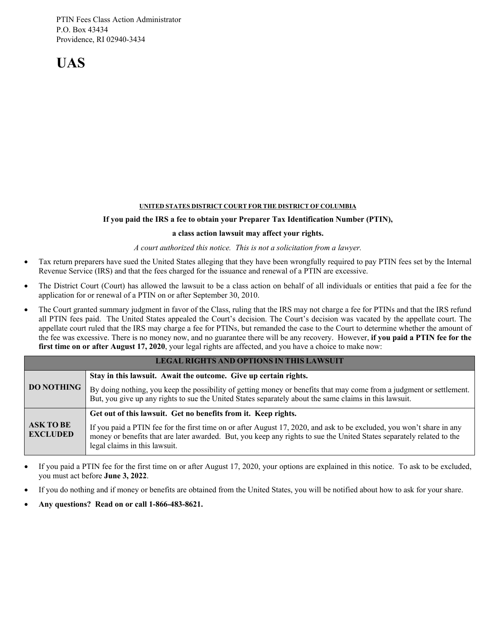PTIN Fees Class Action Administrator P.O. Box 43434 Providence, RI 02940-3434

**UAS**

#### **UNITED STATES DISTRICT COURT FOR THE DISTRICT OF COLUMBIA**

#### **If you paid the IRS a fee to obtain your Preparer Tax Identification Number (PTIN),**

#### **a class action lawsuit may affect your rights.**

#### *A court authorized this notice. This is not a solicitation from a lawyer.*

- Tax return preparers have sued the United States alleging that they have been wrongfully required to pay PTIN fees set by the Internal Revenue Service (IRS) and that the fees charged for the issuance and renewal of a PTIN are excessive.
- The District Court (Court) has allowed the lawsuit to be a class action on behalf of all individuals or entities that paid a fee for the application for or renewal of a PTIN on or after September 30, 2010.
- The Court granted summary judgment in favor of the Class, ruling that the IRS may not charge a fee for PTINs and that the IRS refund all PTIN fees paid. The United States appealed the Court's decision. The Court's decision was vacated by the appellate court. The appellate court ruled that the IRS may charge a fee for PTINs, but remanded the case to the Court to determine whether the amount of the fee was excessive. There is no money now, and no guarantee there will be any recovery. However, **if you paid a PTIN fee for the first time on or after August 17, 2020**, your legal rights are affected, and you have a choice to make now:

| <b>LEGAL RIGHTS AND OPTIONS IN THIS LAWSUIT</b> |                                                                                                                                                                                                                                                                                 |  |
|-------------------------------------------------|---------------------------------------------------------------------------------------------------------------------------------------------------------------------------------------------------------------------------------------------------------------------------------|--|
| <b>DO NOTHING</b>                               | Stay in this lawsuit. Await the outcome. Give up certain rights.                                                                                                                                                                                                                |  |
|                                                 | By doing nothing, you keep the possibility of getting money or benefits that may come from a judgment or settlement.<br>But, you give up any rights to sue the United States separately about the same claims in this lawsuit.                                                  |  |
| <b>ASK TO BE</b><br><b>EXCLUDED</b>             | Get out of this lawsuit. Get no benefits from it. Keep rights.                                                                                                                                                                                                                  |  |
|                                                 | If you paid a PTIN fee for the first time on or after August 17, 2020, and ask to be excluded, you won't share in any<br>money or benefits that are later awarded. But, you keep any rights to sue the United States separately related to the<br>legal claims in this lawsuit. |  |

- If you paid a PTIN fee for the first time on or after August 17, 2020, your options are explained in this notice. To ask to be excluded, you must act before **June 3, 2022**.
- If you do nothing and if money or benefits are obtained from the United States, you will be notified about how to ask for your share.
- **Any questions? Read on or call 1-866-483-8621.**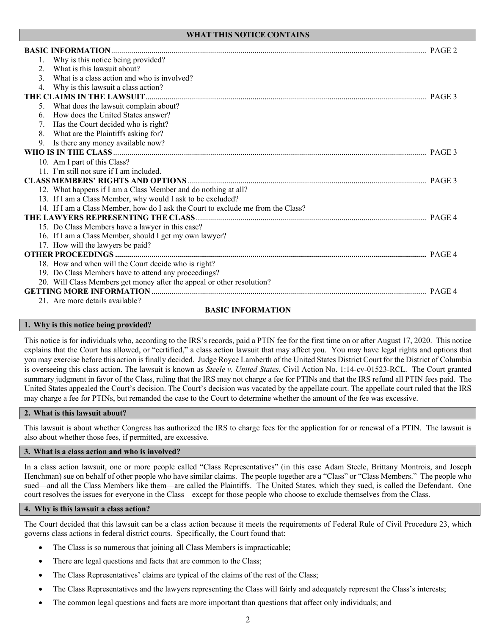|                                           | Why is this notice being provided?                                               |        |
|-------------------------------------------|----------------------------------------------------------------------------------|--------|
| 2.                                        | What is this lawsuit about?                                                      |        |
| 3.                                        | What is a class action and who is involved?                                      |        |
| 4.                                        | Why is this lawsuit a class action?                                              |        |
| THE CLAIMS IN THE LAWSUIT                 |                                                                                  |        |
|                                           | What does the lawsuit complain about?                                            |        |
| 6.                                        | How does the United States answer?                                               |        |
| 7.                                        | Has the Court decided who is right?                                              |        |
| 8.                                        | What are the Plaintiffs asking for?                                              |        |
| 9.                                        | Is there any money available now?                                                |        |
|                                           |                                                                                  | PAGE 3 |
|                                           | 10. Am I part of this Class?                                                     |        |
|                                           | 11. I'm still not sure if I am included.                                         |        |
|                                           |                                                                                  |        |
|                                           | 12. What happens if I am a Class Member and do nothing at all?                   |        |
|                                           | 13. If I am a Class Member, why would I ask to be excluded?                      |        |
|                                           | 14. If I am a Class Member, how do I ask the Court to exclude me from the Class? |        |
|                                           |                                                                                  |        |
|                                           | 15. Do Class Members have a lawyer in this case?                                 |        |
|                                           | 16. If I am a Class Member, should I get my own lawyer?                          |        |
|                                           | 17. How will the lawyers be paid?                                                |        |
|                                           |                                                                                  |        |
|                                           | 18. How and when will the Court decide who is right?                             |        |
|                                           | 19. Do Class Members have to attend any proceedings?                             |        |
|                                           | 20. Will Class Members get money after the appeal or other resolution?           |        |
| <b>GETTING MORE INFORMATION</b><br>PAGE 4 |                                                                                  |        |
|                                           | 21. Are more details available?                                                  |        |

## **BASIC INFORMATION**

### **1. Why is this notice being provided?**

This notice is for individuals who, according to the IRS's records, paid a PTIN fee for the first time on or after August 17, 2020. This notice explains that the Court has allowed, or "certified," a class action lawsuit that may affect you. You may have legal rights and options that you may exercise before this action is finally decided. Judge Royce Lamberth of the United States District Court for the District of Columbia is overseeing this class action. The lawsuit is known as *Steele v. United States*, Civil Action No. 1:14-cv-01523-RCL. The Court granted summary judgment in favor of the Class, ruling that the IRS may not charge a fee for PTINs and that the IRS refund all PTIN fees paid. The United States appealed the Court's decision. The Court's decision was vacated by the appellate court. The appellate court ruled that the IRS may charge a fee for PTINs, but remanded the case to the Court to determine whether the amount of the fee was excessive.

### **2. What is this lawsuit about?**

This lawsuit is about whether Congress has authorized the IRS to charge fees for the application for or renewal of a PTIN. The lawsuit is also about whether those fees, if permitted, are excessive.

### **3. What is a class action and who is involved?**

In a class action lawsuit, one or more people called "Class Representatives" (in this case Adam Steele, Brittany Montrois, and Joseph Henchman) sue on behalf of other people who have similar claims. The people together are a "Class" or "Class Members." The people who sued—and all the Class Members like them—are called the Plaintiffs. The United States, which they sued, is called the Defendant. One court resolves the issues for everyone in the Class—except for those people who choose to exclude themselves from the Class.

## **4. Why is this lawsuit a class action?**

The Court decided that this lawsuit can be a class action because it meets the requirements of Federal Rule of Civil Procedure 23, which governs class actions in federal district courts. Specifically, the Court found that:

- The Class is so numerous that joining all Class Members is impracticable;
- There are legal questions and facts that are common to the Class;
- The Class Representatives' claims are typical of the claims of the rest of the Class;
- The Class Representatives and the lawyers representing the Class will fairly and adequately represent the Class's interests;
- The common legal questions and facts are more important than questions that affect only individuals; and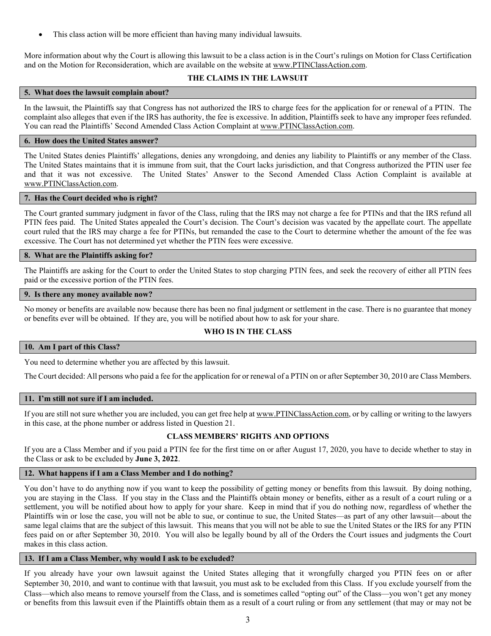This class action will be more efficient than having many individual lawsuits.

More information about why the Court is allowing this lawsuit to be a class action is in the Court's rulings on Motion for Class Certification and on the Motion for Reconsideration, which are available on the website a[t www.PTINClassAction.com.](http://www.ptinclassaction.com/)

# **THE CLAIMS IN THE LAWSUIT**

## **5. What does the lawsuit complain about?**

In the lawsuit, the Plaintiffs say that Congress has not authorized the IRS to charge fees for the application for or renewal of a PTIN. The complaint also alleges that even if the IRS has authority, the fee is excessive. In addition, Plaintiffs seek to have any improper fees refunded. You can read the Plaintiffs' Second Amended Class Action Complaint at [www.PTINClassAction.com.](http://www.ptinclassaction.com/)

## **6. How does the United States answer?**

The United States denies Plaintiffs' allegations, denies any wrongdoing, and denies any liability to Plaintiffs or any member of the Class. The United States maintains that it is immune from suit, that the Court lacks jurisdiction, and that Congress authorized the PTIN user fee and that it was not excessive. The United States' Answer to the Second Amended Class Action Complaint is available at [www.PTINClassAction.com.](http://www.ptinclassaction.com/)

## **7. Has the Court decided who is right?**

The Court granted summary judgment in favor of the Class, ruling that the IRS may not charge a fee for PTINs and that the IRS refund all PTIN fees paid. The United States appealed the Court's decision. The Court's decision was vacated by the appellate court. The appellate court ruled that the IRS may charge a fee for PTINs, but remanded the case to the Court to determine whether the amount of the fee was excessive. The Court has not determined yet whether the PTIN fees were excessive.

## **8. What are the Plaintiffs asking for?**

The Plaintiffs are asking for the Court to order the United States to stop charging PTIN fees, and seek the recovery of either all PTIN fees paid or the excessive portion of the PTIN fees.

### **9. Is there any money available now?**

No money or benefits are available now because there has been no final judgment or settlement in the case. There is no guarantee that money or benefits ever will be obtained. If they are, you will be notified about how to ask for your share.

## **WHO IS IN THE CLASS**

### **10. Am I part of this Class?**

You need to determine whether you are affected by this lawsuit.

The Court decided: All persons who paid a fee for the application for or renewal of a PTIN on or after September 30, 2010 are Class Members.

### **11. I'm still not sure if I am included.**

If you are still not sure whether you are included, you can get free help at [www.PTINClassAction.com,](http://www.ptinclassaction.com/) or by calling or writing to the lawyers in this case, at the phone number or address listed in Question 21.

# **CLASS MEMBERS' RIGHTS AND OPTIONS**

If you are a Class Member and if you paid a PTIN fee for the first time on or after August 17, 2020, you have to decide whether to stay in the Class or ask to be excluded by **June 3, 2022**.

# **12. What happens if I am a Class Member and I do nothing?**

You don't have to do anything now if you want to keep the possibility of getting money or benefits from this lawsuit. By doing nothing, you are staying in the Class. If you stay in the Class and the Plaintiffs obtain money or benefits, either as a result of a court ruling or a settlement, you will be notified about how to apply for your share. Keep in mind that if you do nothing now, regardless of whether the Plaintiffs win or lose the case, you will not be able to sue, or continue to sue, the United States—as part of any other lawsuit—about the same legal claims that are the subject of this lawsuit. This means that you will not be able to sue the United States or the IRS for any PTIN fees paid on or after September 30, 2010. You will also be legally bound by all of the Orders the Court issues and judgments the Court makes in this class action.

## **13. If I am a Class Member, why would I ask to be excluded?**

If you already have your own lawsuit against the United States alleging that it wrongfully charged you PTIN fees on or after September 30, 2010, and want to continue with that lawsuit, you must ask to be excluded from this Class. If you exclude yourself from the Class—which also means to remove yourself from the Class, and is sometimes called "opting out" of the Class—you won't get any money or benefits from this lawsuit even if the Plaintiffs obtain them as a result of a court ruling or from any settlement (that may or may not be